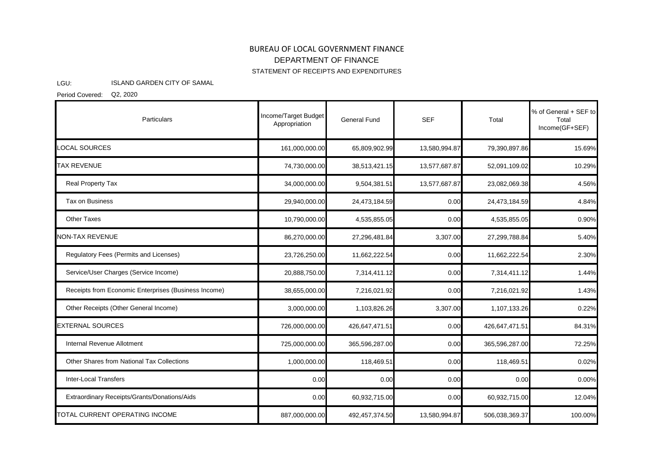## BUREAU OF LOCAL GOVERNMENT FINANCE STATEMENT OF RECEIPTS AND EXPENDITURES DEPARTMENT OF FINANCE

## LGU: ISLAND GARDEN CITY OF SAMAL

Period Covered: Q2, 2020

| Particulars                                          | Income/Target Budget<br>Appropriation | <b>General Fund</b> | <b>SEF</b>    | Total          | % of General + SEF to<br>Total<br>Income(GF+SEF) |
|------------------------------------------------------|---------------------------------------|---------------------|---------------|----------------|--------------------------------------------------|
| LOCAL SOURCES                                        | 161,000,000.00                        | 65,809,902.99       | 13,580,994.87 | 79,390,897.86  | 15.69%                                           |
| <b>TAX REVENUE</b>                                   | 74,730,000.00                         | 38,513,421.15       | 13,577,687.87 | 52,091,109.02  | 10.29%                                           |
| Real Property Tax                                    | 34,000,000.00                         | 9,504,381.51        | 13,577,687.87 | 23,082,069.38  | 4.56%                                            |
| Tax on Business                                      | 29,940,000.00                         | 24,473,184.59       | 0.00          | 24,473,184.59  | 4.84%                                            |
| <b>Other Taxes</b>                                   | 10,790,000.00                         | 4,535,855.05        | 0.00          | 4,535,855.05   | 0.90%                                            |
| <b>NON-TAX REVENUE</b>                               | 86,270,000.00                         | 27,296,481.84       | 3,307.00      | 27,299,788.84  | 5.40%                                            |
| Regulatory Fees (Permits and Licenses)               | 23,726,250.00                         | 11,662,222.54       | 0.00          | 11,662,222.54  | 2.30%                                            |
| Service/User Charges (Service Income)                | 20,888,750.00                         | 7,314,411.12        | 0.00          | 7,314,411.12   | 1.44%                                            |
| Receipts from Economic Enterprises (Business Income) | 38,655,000.00                         | 7,216,021.92        | 0.00          | 7,216,021.92   | 1.43%                                            |
| Other Receipts (Other General Income)                | 3,000,000.00                          | 1,103,826.26        | 3,307.00      | 1,107,133.26   | 0.22%                                            |
| <b>EXTERNAL SOURCES</b>                              | 726,000,000.00                        | 426,647,471.51      | 0.00          | 426,647,471.51 | 84.31%                                           |
| Internal Revenue Allotment                           | 725,000,000.00                        | 365,596,287.00      | 0.00          | 365,596,287.00 | 72.25%                                           |
| Other Shares from National Tax Collections           | 1,000,000.00                          | 118,469.51          | 0.00          | 118,469.51     | 0.02%                                            |
| <b>Inter-Local Transfers</b>                         | 0.00                                  | 0.00                | 0.00          | 0.00           | 0.00%                                            |
| Extraordinary Receipts/Grants/Donations/Aids         | 0.00                                  | 60,932,715.00       | 0.00          | 60,932,715.00  | 12.04%                                           |
| TOTAL CURRENT OPERATING INCOME                       | 887,000,000.00                        | 492,457,374.50      | 13,580,994.87 | 506,038,369.37 | 100.00%                                          |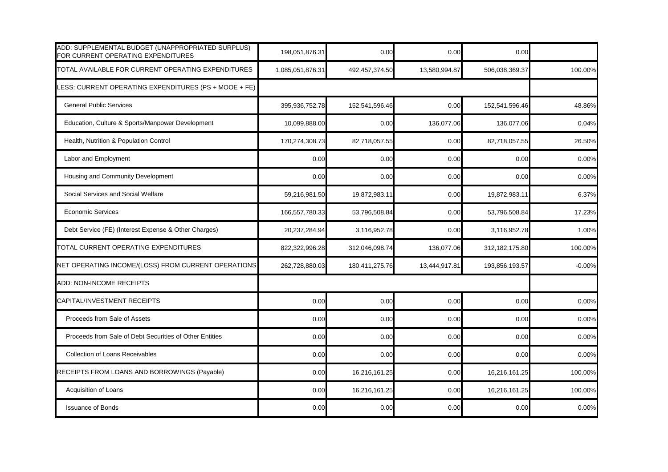| ADD: SUPPLEMENTAL BUDGET (UNAPPROPRIATED SURPLUS)<br>FOR CURRENT OPERATING EXPENDITURES | 198,051,876.31   | 0.00           | 0.00          | 0.00             |          |
|-----------------------------------------------------------------------------------------|------------------|----------------|---------------|------------------|----------|
| TOTAL AVAILABLE FOR CURRENT OPERATING EXPENDITURES                                      | 1,085,051,876.31 | 492,457,374.50 | 13,580,994.87 | 506,038,369.37   | 100.00%  |
| LESS: CURRENT OPERATING EXPENDITURES (PS + MOOE + FE)                                   |                  |                |               |                  |          |
| <b>General Public Services</b>                                                          | 395,936,752.78   | 152,541,596.46 | 0.00          | 152,541,596.46   | 48.86%   |
| Education, Culture & Sports/Manpower Development                                        | 10,099,888.00    | 0.00           | 136,077.06    | 136,077.06       | 0.04%    |
| Health, Nutrition & Population Control                                                  | 170,274,308.73   | 82,718,057.55  | 0.00          | 82,718,057.55    | 26.50%   |
| Labor and Employment                                                                    | 0.00             | 0.00           | 0.00          | 0.00             | 0.00%    |
| Housing and Community Development                                                       | 0.00             | 0.00           | 0.00          | 0.00             | 0.00%    |
| Social Services and Social Welfare                                                      | 59,216,981.50    | 19,872,983.11  | 0.00          | 19,872,983.11    | 6.37%    |
| <b>Economic Services</b>                                                                | 166,557,780.33   | 53,796,508.84  | 0.00          | 53,796,508.84    | 17.23%   |
| Debt Service (FE) (Interest Expense & Other Charges)                                    | 20,237,284.94    | 3,116,952.78   | 0.00          | 3,116,952.78     | 1.00%    |
| TOTAL CURRENT OPERATING EXPENDITURES                                                    | 822,322,996.28   | 312,046,098.74 | 136,077.06    | 312, 182, 175.80 | 100.00%  |
| NET OPERATING INCOME/(LOSS) FROM CURRENT OPERATIONS                                     | 262,728,880.03   | 180,411,275.76 | 13,444,917.81 | 193,856,193.57   | $-0.00%$ |
| ADD: NON-INCOME RECEIPTS                                                                |                  |                |               |                  |          |
| CAPITAL/INVESTMENT RECEIPTS                                                             | 0.00             | 0.00           | 0.00          | 0.00             | 0.00%    |
| Proceeds from Sale of Assets                                                            | 0.00             | 0.00           | 0.00          | 0.00             | 0.00%    |
| Proceeds from Sale of Debt Securities of Other Entities                                 | 0.00             | 0.00           | 0.00          | 0.00             | 0.00%    |
| Collection of Loans Receivables                                                         | 0.00             | 0.00           | 0.00          | 0.00             | 0.00%    |
| RECEIPTS FROM LOANS AND BORROWINGS (Payable)                                            | 0.00             | 16,216,161.25  | 0.00          | 16,216,161.25    | 100.00%  |
| Acquisition of Loans                                                                    | 0.00             | 16,216,161.25  | 0.00          | 16,216,161.25    | 100.00%  |
| <b>Issuance of Bonds</b>                                                                | 0.00             | 0.00           | 0.00          | 0.00             | 0.00%    |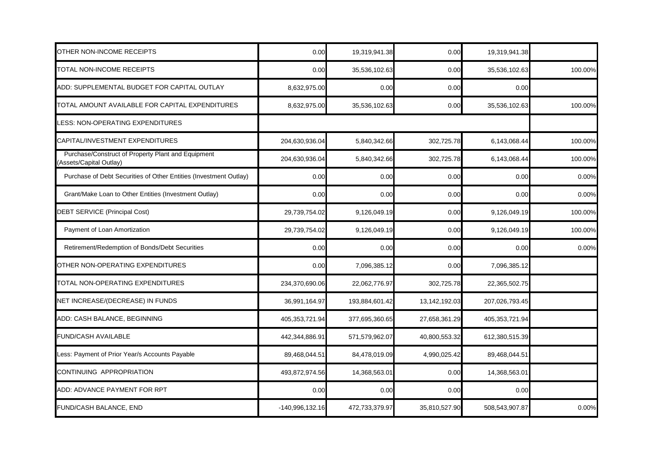| OTHER NON-INCOME RECEIPTS                                                    | 0.00            | 19,319,941.38  | 0.00          | 19,319,941.38  |         |
|------------------------------------------------------------------------------|-----------------|----------------|---------------|----------------|---------|
| TOTAL NON-INCOME RECEIPTS                                                    | 0.00            | 35,536,102.63  | 0.00          | 35,536,102.63  | 100.00% |
| ADD: SUPPLEMENTAL BUDGET FOR CAPITAL OUTLAY                                  | 8,632,975.00    | 0.00           | 0.00          | 0.00           |         |
| TOTAL AMOUNT AVAILABLE FOR CAPITAL EXPENDITURES                              | 8,632,975.00    | 35,536,102.63  | 0.00          | 35,536,102.63  | 100.00% |
| LESS: NON-OPERATING EXPENDITURES                                             |                 |                |               |                |         |
| CAPITAL/INVESTMENT EXPENDITURES                                              | 204,630,936.04  | 5,840,342.66   | 302,725.78    | 6,143,068.44   | 100.00% |
| Purchase/Construct of Property Plant and Equipment<br>Assets/Capital Outlay) | 204,630,936.04  | 5,840,342.66   | 302,725.78    | 6,143,068.44   | 100.00% |
| Purchase of Debt Securities of Other Entities (Investment Outlay)            | 0.00            | 0.00           | 0.00          | 0.00           | 0.00%   |
| Grant/Make Loan to Other Entities (Investment Outlay)                        | 0.00            | 0.00           | 0.00          | 0.00           | 0.00%   |
| DEBT SERVICE (Principal Cost)                                                | 29,739,754.02   | 9,126,049.19   | 0.00          | 9,126,049.19   | 100.00% |
| Payment of Loan Amortization                                                 | 29,739,754.02   | 9,126,049.19   | 0.00          | 9,126,049.19   | 100.00% |
| Retirement/Redemption of Bonds/Debt Securities                               | 0.00            | 0.00           | 0.00          | 0.00           | 0.00%   |
| OTHER NON-OPERATING EXPENDITURES                                             | 0.00            | 7,096,385.12   | 0.00          | 7,096,385.12   |         |
| TOTAL NON-OPERATING EXPENDITURES                                             | 234,370,690.06  | 22,062,776.97  | 302,725.78    | 22,365,502.75  |         |
| NET INCREASE/(DECREASE) IN FUNDS                                             | 36,991,164.97   | 193,884,601.42 | 13,142,192.03 | 207,026,793.45 |         |
| ADD: CASH BALANCE, BEGINNING                                                 | 405,353,721.94  | 377,695,360.65 | 27,658,361.29 | 405,353,721.94 |         |
| <b>FUND/CASH AVAILABLE</b>                                                   | 442,344,886.91  | 571,579,962.07 | 40,800,553.32 | 612,380,515.39 |         |
| Less: Payment of Prior Year/s Accounts Payable                               | 89,468,044.51   | 84,478,019.09  | 4,990,025.42  | 89,468,044.51  |         |
| CONTINUING APPROPRIATION                                                     | 493,872,974.56  | 14,368,563.01  | 0.00          | 14,368,563.01  |         |
| ADD: ADVANCE PAYMENT FOR RPT                                                 | 0.00            | 0.00           | 0.00          | 0.00           |         |
| <b>FUND/CASH BALANCE, END</b>                                                | -140,996,132.16 | 472,733,379.97 | 35,810,527.90 | 508,543,907.87 | 0.00%   |